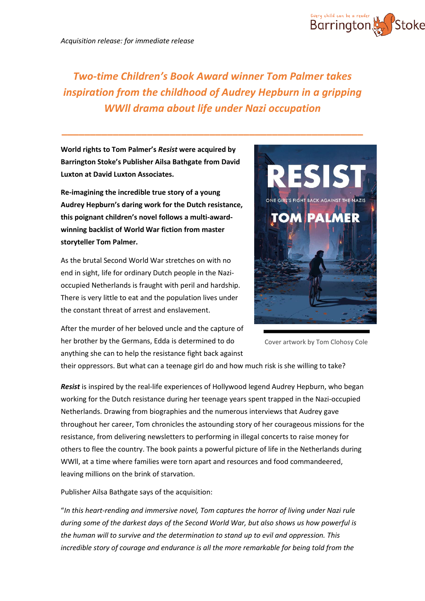

**World rights to Tom Palmer's** *Resist* **were acquired by Barrington Stoke's Publisher Ailsa Bathgate from David Luxton at David Luxton Associates.**

**Re-imagining the incredible true story of a young Audrey Hepburn's daring work for the Dutch resistance, this poignant children's novel follows a multi-awardwinning backlist of World War fiction from master storyteller Tom Palmer.**

As the brutal Second World War stretches on with no end in sight, life for ordinary Dutch people in the Nazioccupied Netherlands is fraught with peril and hardship. There is very little to eat and the population lives under the constant threat of arrest and enslavement.



After the murder of her beloved uncle and the capture of her brother by the Germans, Edda is determined to do anything she can to help the resistance fight back against

Cover artwork by Tom Clohosy Cole

their oppressors. But what can a teenage girl do and how much risk is she willing to take?

*Resist* is inspired by the real-life experiences of Hollywood legend Audrey Hepburn, who began working for the Dutch resistance during her teenage years spent trapped in the Nazi-occupied Netherlands. Drawing from biographies and the numerous interviews that Audrey gave throughout her career, Tom chronicles the astounding story of her courageous missions for the resistance, from delivering newsletters to performing in illegal concerts to raise money for others to flee the country. The book paints a powerful picture of life in the Netherlands during WWll, at a time where families were torn apart and resources and food commandeered, leaving millions on the brink of starvation.

Publisher Ailsa Bathgate says of the acquisition:

"*In this heart-rending and immersive novel, Tom captures the horror of living under Nazi rule during some of the darkest days of the Second World War, but also shows us how powerful is the human will to survive and the determination to stand up to evil and oppression. This incredible story of courage and endurance is all the more remarkable for being told from the*

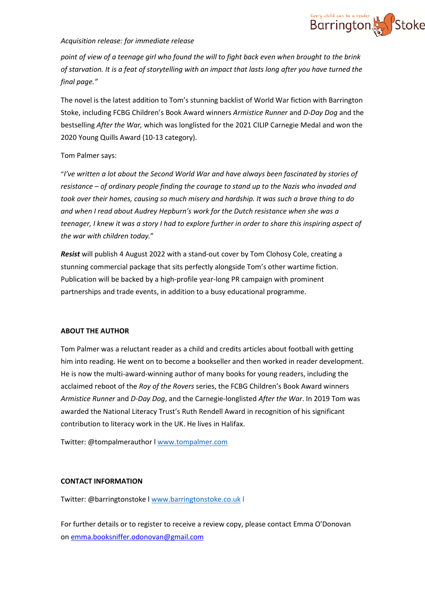

## *Acquisition release: for immediate release*

point of view of a teenage girl who found the will to fight back even when brought to the brink of starvation. It is a feat of storytelling with an impact that lasts long after you have turned the *final page."*

The novel is the latest addition to Tom's stunning backlist of World War fiction with Barrington Stoke, including FCBG Children's Book Award winners *Armistice Runner* and *D-Day Dog* and the bestselling *After the War,* which was longlisted for the 2021 CILIP Carnegie Medal and won the 2020 Young Quills Award (10-13 category).

## Tom Palmer says:

"*I've written a lot about the Second World War and have always been fascinated by stories of resistance – of ordinary people finding the courage to stand up to the Nazis who invaded and took over their homes, causing so much misery and hardship. It was such a brave thing to do and when I read about Audrey Hepburn's work for the Dutch resistance when she was a teenager, I knew it was a story I had to explore further in order to share this inspiring aspect of the war with children today.*"

*Resist* will publish 4 August 2022 with a stand-out cover by Tom Clohosy Cole, creating a stunning commercial package that sits perfectly alongside Tom's other wartime fiction. Publication will be backed by a high-profile year-long PR campaign with prominent partnerships and trade events, in addition to a busy educational programme.

#### **ABOUT THE AUTHOR**

Tom Palmer was a reluctant reader as a child and credits articles about football with getting him into reading. He went on to become a bookseller and then worked in reader development. He is now the multi-award-winning author of many books for young readers, including the acclaimed reboot of the *Roy of the Rovers* series, the FCBG Children's Book Award winners *Armistice Runner* and *D-Day Dog*, and the Carnegie-longlisted *After the War*. In 2019 Tom was awarded the National Literacy Trust's Ruth Rendell Award in recognition of his significant contribution to literacy work in the UK. He lives in Halifax.

Twitter: @tompalmerauthor l [www.tompalmer.com](http://www.tompalmer.com/)

## **CONTACT INFORMATION**

Twitter: @barringtonstoke l [www.barringtonstoke.co.uk](http://www.barringtonstoke.co.uk/) l

For further details or to register to receive a review copy, please contact Emma O'Donovan on [emma.booksniffer.odonovan@gmail.com](mailto:emma.booksniffer.odonovan@gmail.com)